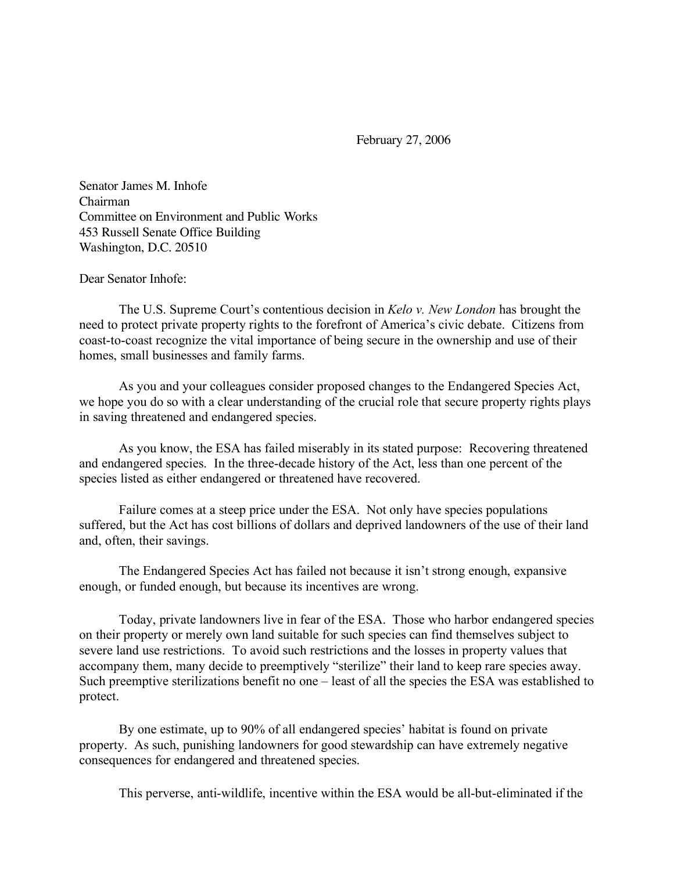February 27, 2006

Senator James M. Inhofe Chairman Committee on Environment and Public Works 453 Russell Senate Office Building Washington, D.C. 20510

Dear Senator Inhofe:

The U.S. Supreme Court's contentious decision in *Kelo v. New London* has brought the need to protect private property rights to the forefront of America's civic debate. Citizens from coast-to-coast recognize the vital importance of being secure in the ownership and use of their homes, small businesses and family farms.

As you and your colleagues consider proposed changes to the Endangered Species Act, we hope you do so with a clear understanding of the crucial role that secure property rights plays in saving threatened and endangered species.

As you know, the ESA has failed miserably in its stated purpose: Recovering threatened and endangered species. In the three-decade history of the Act, less than one percent of the species listed as either endangered or threatened have recovered.

Failure comes at a steep price under the ESA. Not only have species populations suffered, but the Act has cost billions of dollars and deprived landowners of the use of their land and, often, their savings.

The Endangered Species Act has failed not because it isn't strong enough, expansive enough, or funded enough, but because its incentives are wrong.

Today, private landowners live in fear of the ESA. Those who harbor endangered species on their property or merely own land suitable for such species can find themselves subject to severe land use restrictions. To avoid such restrictions and the losses in property values that accompany them, many decide to preemptively "sterilize" their land to keep rare species away. Such preemptive sterilizations benefit no one – least of all the species the ESA was established to protect.

By one estimate, up to 90% of all endangered species' habitat is found on private property. As such, punishing landowners for good stewardship can have extremely negative consequences for endangered and threatened species.

This perverse, anti-wildlife, incentive within the ESA would be all-but-eliminated if the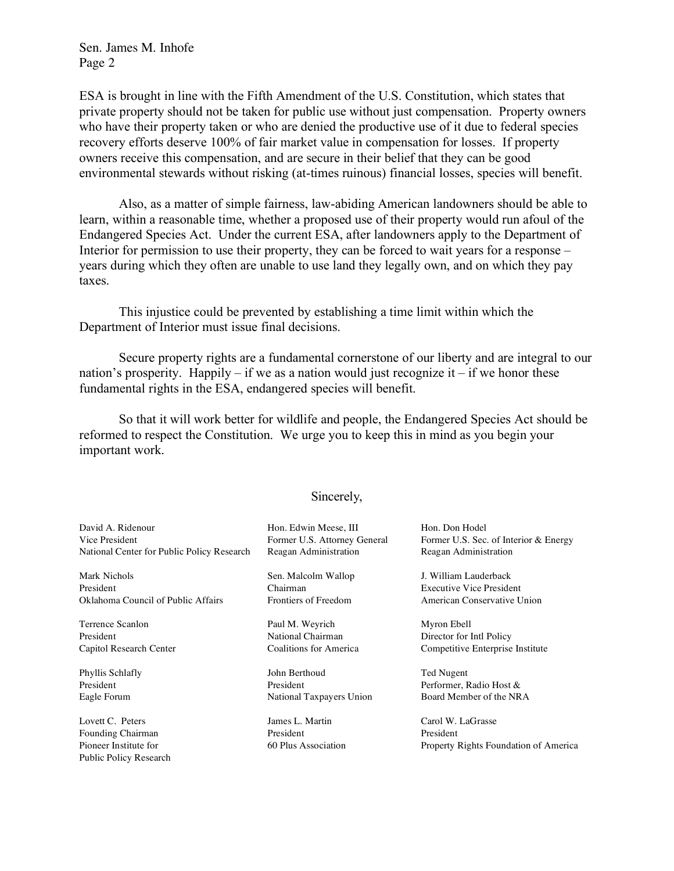Public Policy Research

ESA is brought in line with the Fifth Amendment of the U.S. Constitution, which states that private property should not be taken for public use without just compensation. Property owners who have their property taken or who are denied the productive use of it due to federal species recovery efforts deserve 100% of fair market value in compensation for losses. If property owners receive this compensation, and are secure in their belief that they can be good environmental stewards without risking (at-times ruinous) financial losses, species will benefit.

Also, as a matter of simple fairness, law-abiding American landowners should be able to learn, within a reasonable time, whether a proposed use of their property would run afoul of the Endangered Species Act. Under the current ESA, after landowners apply to the Department of Interior for permission to use their property, they can be forced to wait years for a response – years during which they often are unable to use land they legally own, and on which they pay taxes.

This injustice could be prevented by establishing a time limit within which the Department of Interior must issue final decisions.

Secure property rights are a fundamental cornerstone of our liberty and are integral to our nation's prosperity. Happily – if we as a nation would just recognize it – if we honor these fundamental rights in the ESA, endangered species will benefit.

So that it will work better for wildlife and people, the Endangered Species Act should be reformed to respect the Constitution. We urge you to keep this in mind as you begin your important work.

## Sincerely,

| David A. Ridenour<br>Vice President<br>National Center for Public Policy Research | Hon. Edwin Meese, III<br>Former U.S. Attorney General<br>Reagan Administration | Hon. Don Hodel<br>Former U.S. Sec. of Interior & Energy<br>Reagan Administration |
|-----------------------------------------------------------------------------------|--------------------------------------------------------------------------------|----------------------------------------------------------------------------------|
| Mark Nichols                                                                      | Sen. Malcolm Wallop                                                            | J. William Lauderback                                                            |
| President                                                                         | Chairman                                                                       | <b>Executive Vice President</b>                                                  |
| Oklahoma Council of Public Affairs                                                | Frontiers of Freedom                                                           | American Conservative Union                                                      |
| Terrence Scanlon                                                                  | Paul M. Weyrich                                                                | Myron Ebell                                                                      |
| President                                                                         | National Chairman                                                              | Director for Intl Policy                                                         |
| Capitol Research Center                                                           | Coalitions for America                                                         | Competitive Enterprise Institute                                                 |
| Phyllis Schlafly                                                                  | John Berthoud                                                                  | Ted Nugent                                                                       |
| President                                                                         | President                                                                      | Performer, Radio Host &                                                          |
| Eagle Forum                                                                       | National Taxpayers Union                                                       | Board Member of the NRA                                                          |
| Lovett C. Peters                                                                  | James L. Martin                                                                | Carol W. LaGrasse                                                                |

Founding Chairman **President** President President President Pioneer Institute for 60 Plus Association Property Rights Foundation of America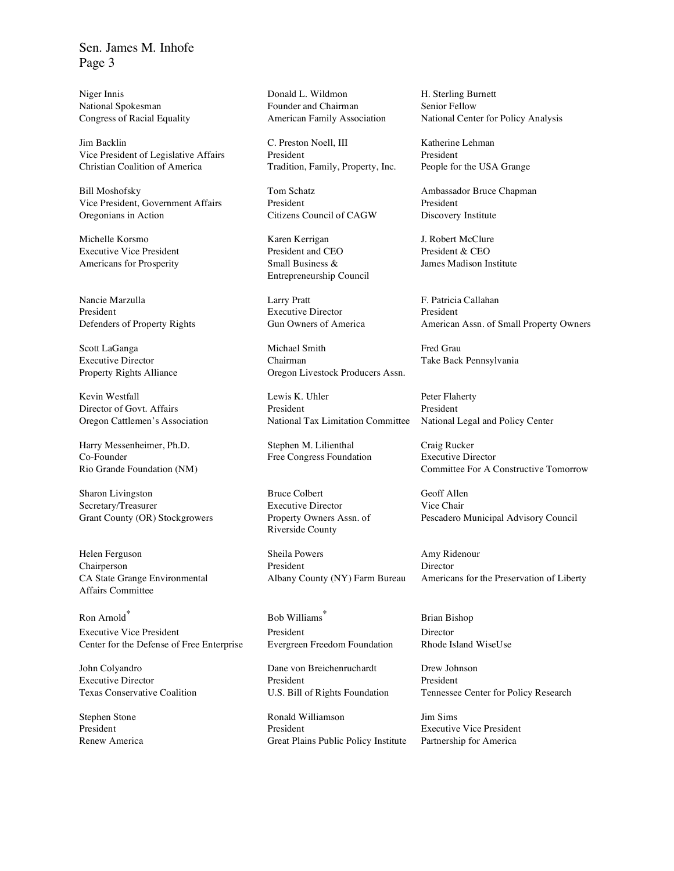Jim Backlin C. Preston Noell, III Katherine Lehman Vice President of Legislative Affairs President President President Christian Coalition of America Tradition, Family, Property, Inc. People for the USA Grange

Bill Moshofsky **Tom Schatz** Tom Schatz Ambassador Bruce Chapman Vice President, Government Affairs President President President Oregonians in Action Citizens Council of CAGW Discovery Institute

Nancie Marzulla Larry Pratt F. Patricia Callahan President Executive Director President President

Kevin Westfall **Lewis K. Uhler** Peter Flaherty

Harry Messenheimer, Ph.D. Stephen M. Lilienthal Craig Rucker Co-Founder Free Congress Foundation Executive Director

Sharon Livingston Bruce Colbert Geoff Allen Secretary/Treasurer Executive Director Vice Chair

Affairs Committee

Ron Arnold Executive Vice President President Director Center for the Defense of Free Enterprise Evergreen Freedom Foundation Rhode Island WiseUse

John Colyandro Dane von Breichenruchardt Drew Johnson

Niger Innis Donald L. Wildmon H. Sterling Burnett National Spokesman **National Spokesman** Founder and Chairman Senior Fellow

Michelle Korsmo Karen Kerrigan J. Robert McClure Executive Vice President President President and CEO President & CEO Americans for Prosperity Small Business & James Madison Institute Entrepreneurship Council

Scott LaGanga **Michael Smith** Fred Grau Fred Grau Annual Smith Fred Grau Fred Grau Annual Smith Fred Grau Annual Smith Fred Grau Annual Smith Fred Grau Annual Smith Scott Annual Smith Scott Annual Smith Scott Annual Smith Executive Director **Chairman** Chairman Take Back Pennsylvania Property Rights Alliance Oregon Livestock Producers Assn.

Director of Govt. Affairs President President President President Oregon Cattlemen's Association National Tax Limitation Committee National Legal and Policy Center

Riverside County

Helen Ferguson Sheila Powers Amy Ridenour Chairperson President Director

<sup>∗</sup> Bob Williams

Executive Director **President** President President President President

Stephen Stone **Ronald Williamson** Jim Sims President President President President Executive Vice President Renew America Great Plains Public Policy Institute Partnership for America

Congress of Racial Equality American Family Association National Center for Policy Analysis

Defenders of Property Rights Gun Owners of America American Assn. of Small Property Owners

Rio Grande Foundation (NM) Committee For A Constructive Tomorrow

Grant County (OR) Stockgrowers Property Owners Assn. of Pescadero Municipal Advisory Council

CA State Grange Environmental Albany County (NY) Farm Bureau Americans for the Preservation of Liberty

<sup>∗</sup> Brian Bishop

Texas Conservative Coalition U.S. Bill of Rights Foundation Tennessee Center for Policy Research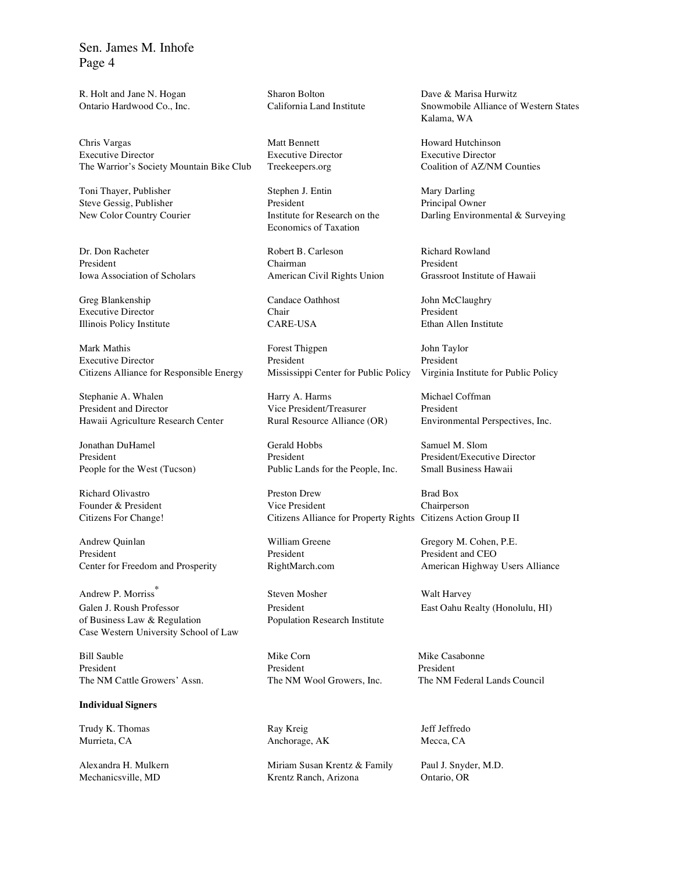R. Holt and Jane N. Hogan Sharon Bolton Dave & Marisa Hurwitz<br>
Ontario Hardwood Co., Inc. California Land Institute Snowmobile Alliance of

Chris Vargas **Matt Bennett** Howard Hutchinson Howard Hutchinson Executive Director Executive Director Executive Director The Warrior's Society Mountain Bike Club Treekeepers.org Coalition of AZ/NM Counties

Toni Thayer, Publisher Stephen J. Entin Mary Darling

Greg Blankenship Candace Oathhost John McClaughry Executive Director Chair Chair President Illinois Policy Institute CARE-USA Ethan Allen Institute

Mark Mathis Forest Thigpen John Taylor Executive Director **President** President President President President President Citizens Alliance for Responsible Energy Mississippi Center for Public Policy Virginia Institute for Public Policy

Stephanie A. Whalen Harry A. Harms Michael Coffman Michael Coffman President and Director Vice President/Treasurer President President Hawaii Agriculture Research Center Rural Resource Alliance (OR) Environmental Perspectives, Inc.

Andrew Quinlan William Greene Gregory M. Cohen, P.E. President President President President President President and CEO Center for Freedom and Prosperity RightMarch.com American Highway Users Alliance

Andrew P. Morriss Galen J. Roush Professor President East Oahu Realty (Honolulu, HI) of Business Law & Regulation Population Research Institute Case Western University School of Law

Bill Sauble **Mike Corn** Mike Corn Mike Casabonne President President President

**Individual Signers**

Trudy K. Thomas **Ray Kreig** Ray Kreig Jeff Jeffredo Murrieta, CA **Anchorage, AK** Mecca, CA

Steve Gessig, Publisher President President Principal Owner Economics of Taxation

Dr. Don Racheter **Robert B. Carleson** Richard Rowland President Chairman President Iowa Association of Scholars American Civil Rights Union Grassroot Institute of Hawaii

Jonathan DuHamel Gerald Hobbs Samuel M. Slom President President President President President President President President President President President People for the West (Tucson) Public Lands for the People, Inc. Small Business Hawaii

Richard Olivastro **Preston Drew Brad Box** Preston Drew Brad Box Founder & President Vice President Chairperson Citizens For Change! Citizens Alliance for Property Rights Citizens Action Group II

<sup>∗</sup> Steven Mosher Walt Harvey

Alexandra H. Mulkern Miriam Susan Krentz & Family Paul J. Snyder, M.D. Mechanicsville, MD Krentz Ranch, Arizona Ontario, OR

Ontario Hardwood Co., Inc. California Land Institute Snowmobile Alliance of Western States Kalama, WA

New Color Country Courier Institute for Research on the Darling Environmental & Surveying

The NM Cattle Growers' Assn. The NM Wool Growers, Inc. The NM Federal Lands Council